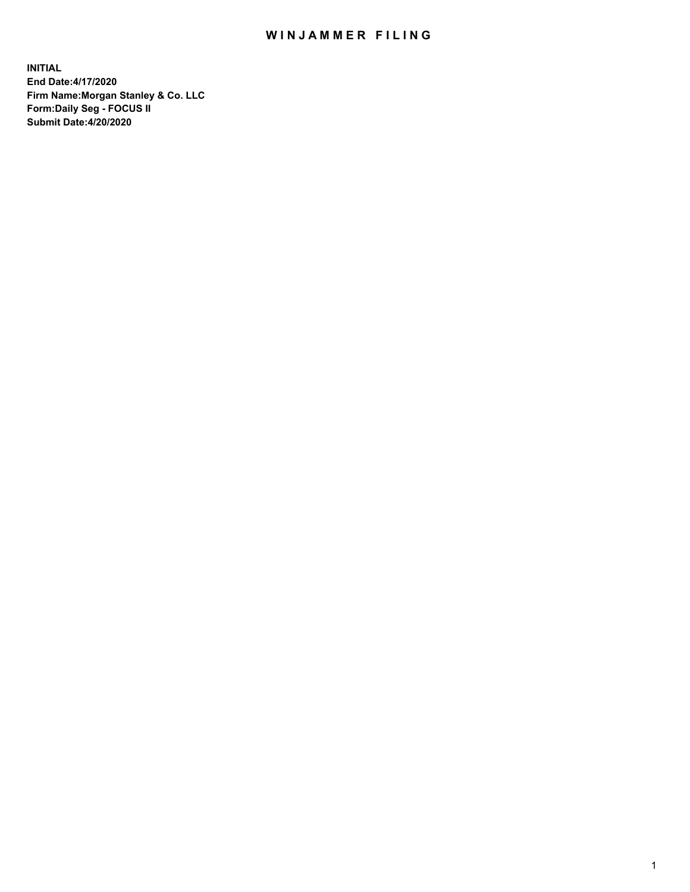## WIN JAMMER FILING

**INITIAL End Date:4/17/2020 Firm Name:Morgan Stanley & Co. LLC Form:Daily Seg - FOCUS II Submit Date:4/20/2020**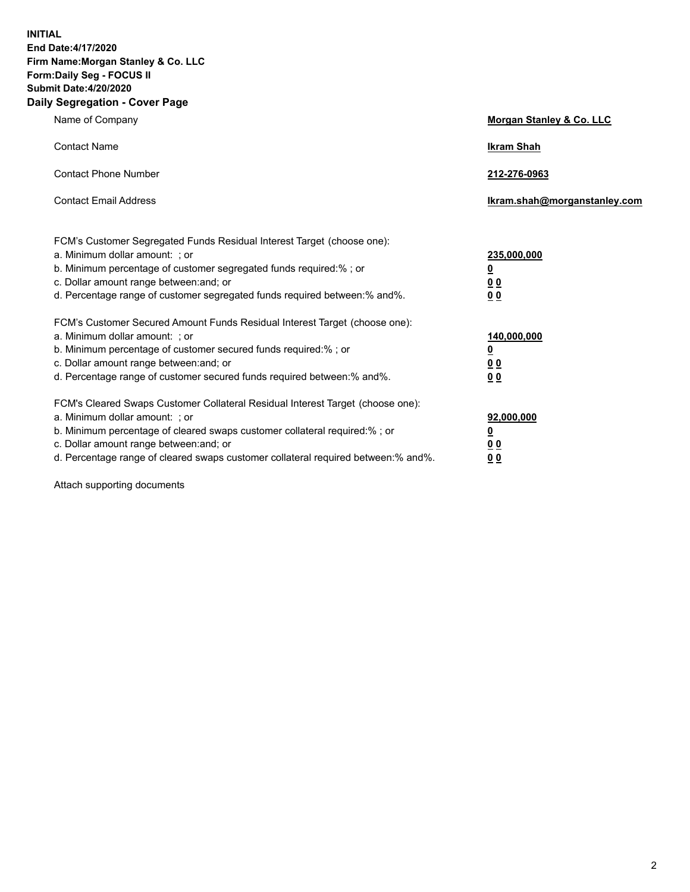**INITIAL End Date:4/17/2020 Firm Name:Morgan Stanley & Co. LLC Form:Daily Seg - FOCUS II Submit Date:4/20/2020 Daily Segregation - Cover Page**

| Name of Company                                                                                                                                                                                                                                                                                                                | <b>Morgan Stanley &amp; Co. LLC</b>                     |
|--------------------------------------------------------------------------------------------------------------------------------------------------------------------------------------------------------------------------------------------------------------------------------------------------------------------------------|---------------------------------------------------------|
| <b>Contact Name</b>                                                                                                                                                                                                                                                                                                            | <b>Ikram Shah</b>                                       |
| <b>Contact Phone Number</b>                                                                                                                                                                                                                                                                                                    | 212-276-0963                                            |
| <b>Contact Email Address</b>                                                                                                                                                                                                                                                                                                   | Ikram.shah@morganstanley.com                            |
| FCM's Customer Segregated Funds Residual Interest Target (choose one):<br>a. Minimum dollar amount: ; or<br>b. Minimum percentage of customer segregated funds required:% ; or<br>c. Dollar amount range between: and; or                                                                                                      | 235,000,000<br><u>0</u><br><u>00</u>                    |
| d. Percentage range of customer segregated funds required between:% and%.<br>FCM's Customer Secured Amount Funds Residual Interest Target (choose one):                                                                                                                                                                        | 0 <sup>0</sup>                                          |
| a. Minimum dollar amount: ; or<br>b. Minimum percentage of customer secured funds required:%; or<br>c. Dollar amount range between: and; or<br>d. Percentage range of customer secured funds required between: % and %.                                                                                                        | 140,000,000<br><u>0</u><br><u>0 0</u><br>0 <sub>0</sub> |
| FCM's Cleared Swaps Customer Collateral Residual Interest Target (choose one):<br>a. Minimum dollar amount: ; or<br>b. Minimum percentage of cleared swaps customer collateral required:% ; or<br>c. Dollar amount range between: and; or<br>d. Percentage range of cleared swaps customer collateral required between:% and%. | 92,000,000<br><u>0</u><br>0 Q<br>0 <sub>0</sub>         |

Attach supporting documents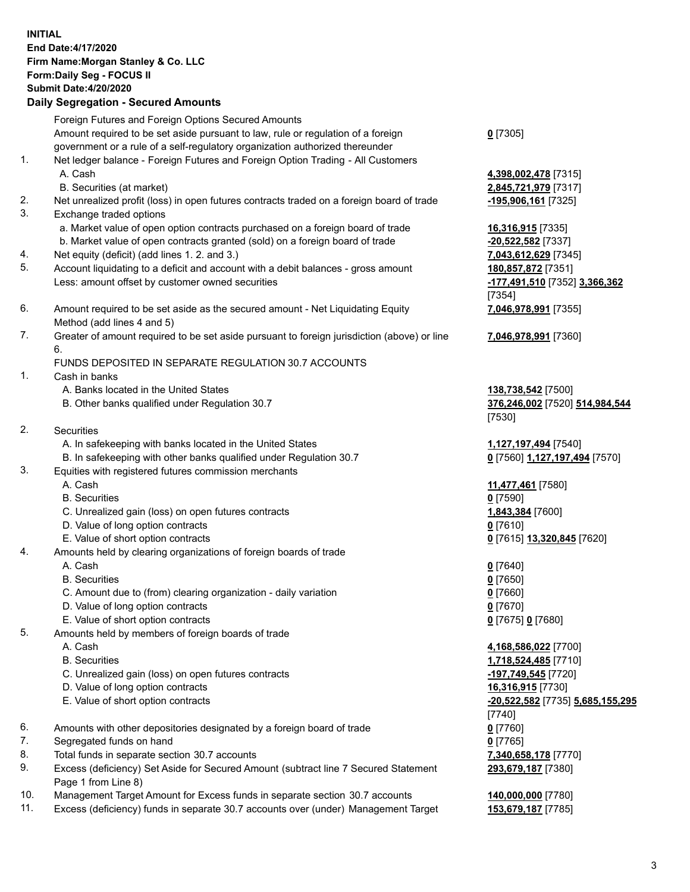## **INITIAL End Date:4/17/2020 Firm Name:Morgan Stanley & Co. LLC Form:Daily Seg - FOCUS II Submit Date:4/20/2020 Daily Segregation - Secured Amounts** Foreign Futures and Foreign Options Secured Amounts Amount required to be set aside pursuant to law, rule or regulation of a foreign government or a rule of a self-regulatory organization authorized thereunder **0** [7305] 1. Net ledger balance - Foreign Futures and Foreign Option Trading - All Customers A. Cash **4,398,002,478** [7315] B. Securities (at market) **2,845,721,979** [7317] 2. Net unrealized profit (loss) in open futures contracts traded on a foreign board of trade **-195,906,161** [7325] 3. Exchange traded options a. Market value of open option contracts purchased on a foreign board of trade **16,316,915** [7335] b. Market value of open contracts granted (sold) on a foreign board of trade **-20,522,582** [7337] 4. Net equity (deficit) (add lines 1. 2. and 3.) **7,043,612,629** [7345] 5. Account liquidating to a deficit and account with a debit balances - gross amount **180,857,872** [7351] Less: amount offset by customer owned securities **-177,491,510** [7352] **3,366,362** [7354] 6. Amount required to be set aside as the secured amount - Net Liquidating Equity Method (add lines 4 and 5) **7,046,978,991** [7355] 7. Greater of amount required to be set aside pursuant to foreign jurisdiction (above) or line 6. **7,046,978,991** [7360] FUNDS DEPOSITED IN SEPARATE REGULATION 30.7 ACCOUNTS 1. Cash in banks A. Banks located in the United States **138,738,542** [7500] B. Other banks qualified under Regulation 30.7 **376,246,002** [7520] **514,984,544** [7530] 2. Securities A. In safekeeping with banks located in the United States **1,127,197,494** [7540] B. In safekeeping with other banks qualified under Regulation 30.7 **0** [7560] **1,127,197,494** [7570] 3. Equities with registered futures commission merchants A. Cash **11,477,461** [7580] B. Securities **0** [7590] C. Unrealized gain (loss) on open futures contracts **1,843,384** [7600] D. Value of long option contracts **0** [7610] E. Value of short option contracts **0** [7615] **13,320,845** [7620] 4. Amounts held by clearing organizations of foreign boards of trade A. Cash **0** [7640] B. Securities **0** [7650] C. Amount due to (from) clearing organization - daily variation **0** [7660] D. Value of long option contracts **0** [7670] E. Value of short option contracts **0** [7675] **0** [7680] 5. Amounts held by members of foreign boards of trade A. Cash **4,168,586,022** [7700] B. Securities **1,718,524,485** [7710] C. Unrealized gain (loss) on open futures contracts **-197,749,545** [7720] D. Value of long option contracts **16,316,915** [7730] E. Value of short option contracts **-20,522,582** [7735] **5,685,155,295** [7740] 6. Amounts with other depositories designated by a foreign board of trade **0** [7760] 7. Segregated funds on hand **0** [7765] 8. Total funds in separate section 30.7 accounts **7,340,658,178** [7770] 9. Excess (deficiency) Set Aside for Secured Amount (subtract line 7 Secured Statement Page 1 from Line 8)

- 10. Management Target Amount for Excess funds in separate section 30.7 accounts **140,000,000** [7780]
- 11. Excess (deficiency) funds in separate 30.7 accounts over (under) Management Target **153,679,187** [7785]

**293,679,187** [7380]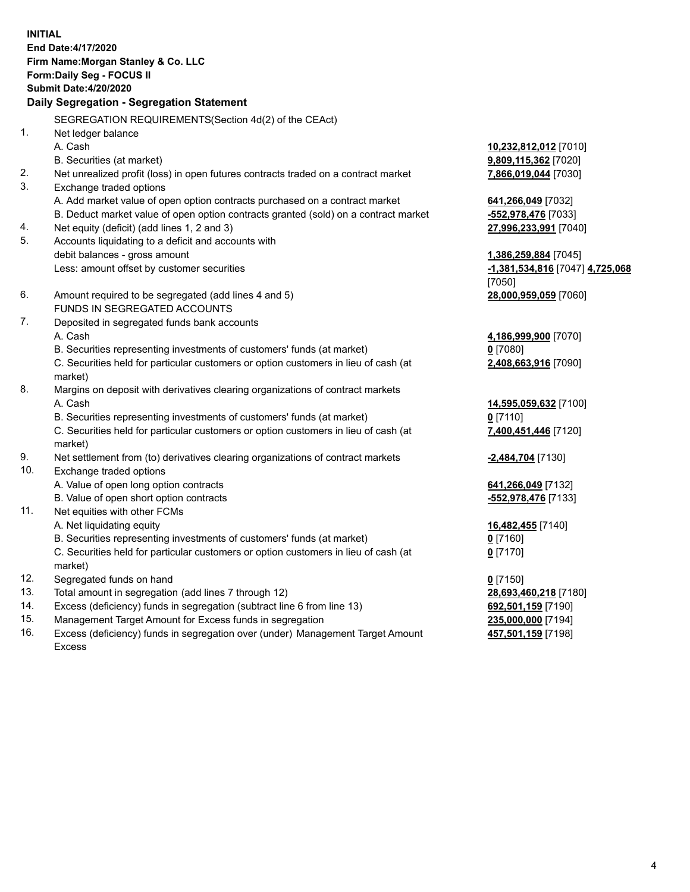**INITIAL End Date:4/17/2020 Firm Name:Morgan Stanley & Co. LLC Form:Daily Seg - FOCUS II Submit Date:4/20/2020 Daily Segregation - Segregation Statement** SEGREGATION REQUIREMENTS(Section 4d(2) of the CEAct) 1. Net ledger balance A. Cash **10,232,812,012** [7010] B. Securities (at market) **9,809,115,362** [7020] 2. Net unrealized profit (loss) in open futures contracts traded on a contract market **7,866,019,044** [7030] 3. Exchange traded options A. Add market value of open option contracts purchased on a contract market **641,266,049** [7032] B. Deduct market value of open option contracts granted (sold) on a contract market **-552,978,476** [7033] 4. Net equity (deficit) (add lines 1, 2 and 3) **27,996,233,991** [7040] 5. Accounts liquidating to a deficit and accounts with debit balances - gross amount **1,386,259,884** [7045] Less: amount offset by customer securities **-1,381,534,816** [7047] **4,725,068** [7050] 6. Amount required to be segregated (add lines 4 and 5) **28,000,959,059** [7060] FUNDS IN SEGREGATED ACCOUNTS 7. Deposited in segregated funds bank accounts A. Cash **4,186,999,900** [7070] B. Securities representing investments of customers' funds (at market) **0** [7080] C. Securities held for particular customers or option customers in lieu of cash (at market) **2,408,663,916** [7090] 8. Margins on deposit with derivatives clearing organizations of contract markets A. Cash **14,595,059,632** [7100] B. Securities representing investments of customers' funds (at market) **0** [7110] C. Securities held for particular customers or option customers in lieu of cash (at market) **7,400,451,446** [7120] 9. Net settlement from (to) derivatives clearing organizations of contract markets **-2,484,704** [7130] 10. Exchange traded options A. Value of open long option contracts **641,266,049** [7132] B. Value of open short option contracts **-552,978,476** [7133] 11. Net equities with other FCMs A. Net liquidating equity **16,482,455** [7140] B. Securities representing investments of customers' funds (at market) **0** [7160] C. Securities held for particular customers or option customers in lieu of cash (at market) **0** [7170] 12. Segregated funds on hand **0** [7150] 13. Total amount in segregation (add lines 7 through 12) **28,693,460,218** [7180] 14. Excess (deficiency) funds in segregation (subtract line 6 from line 13) **692,501,159** [7190] 15. Management Target Amount for Excess funds in segregation **235,000,000** [7194]

16. Excess (deficiency) funds in segregation over (under) Management Target Amount Excess

**457,501,159** [7198]